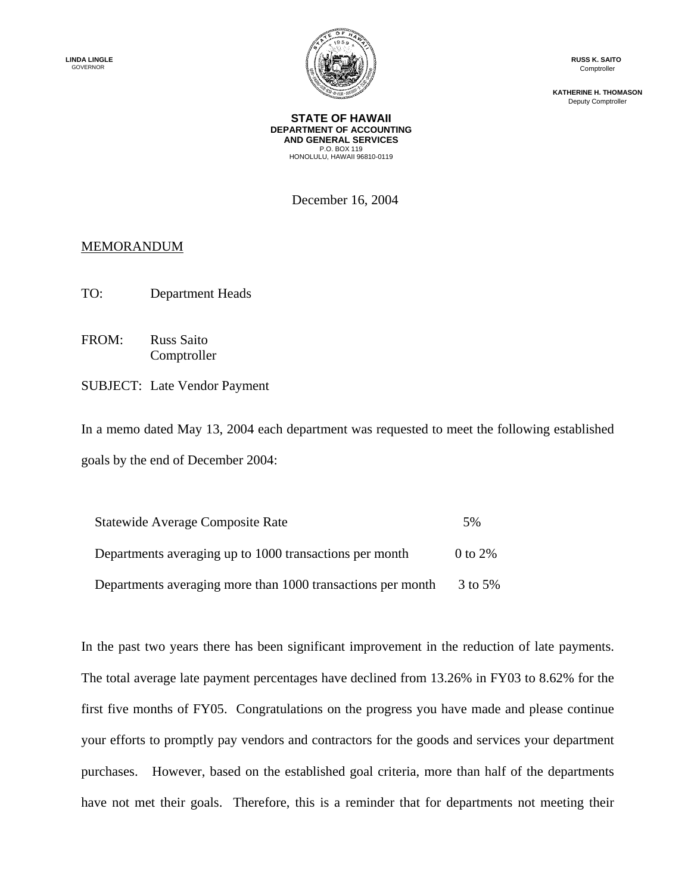

**RUSS K. SAITO**  Comptroller

**KATHERINE H. THOMASON**  Deputy Comptroller

**STATE OF HAWAII DEPARTMENT OF ACCOUNTING AND GENERAL SERVICES**  P.O. BOX 119 HONOLULU, HAWAII 96810-0119

December 16, 2004

## **MEMORANDUM**

- TO: Department Heads
- FROM: Russ Saito Comptroller
- SUBJECT: Late Vendor Payment

In a memo dated May 13, 2004 each department was requested to meet the following established goals by the end of December 2004:

| Statewide Average Composite Rate                            | 5%           |
|-------------------------------------------------------------|--------------|
| Departments averaging up to 1000 transactions per month     | $0$ to $2\%$ |
| Departments averaging more than 1000 transactions per month | 3 to 5%      |

In the past two years there has been significant improvement in the reduction of late payments. The total average late payment percentages have declined from 13.26% in FY03 to 8.62% for the first five months of FY05. Congratulations on the progress you have made and please continue your efforts to promptly pay vendors and contractors for the goods and services your department purchases. However, based on the established goal criteria, more than half of the departments have not met their goals. Therefore, this is a reminder that for departments not meeting their